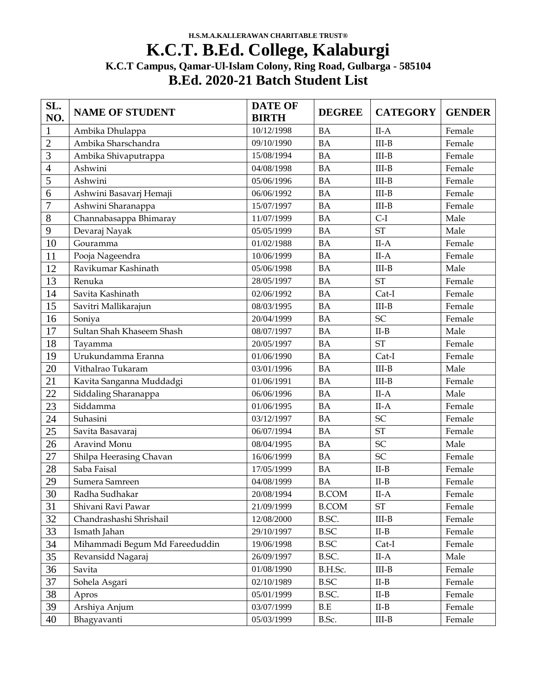## **K.C.T. B.Ed. College, Kalaburgi K.C.T Campus, Qamar-Ul-Islam Colony, Ring Road, Gulbarga - 585104 B.Ed. 2020-21 Batch Student List**

| SL.<br>NO.      | <b>NAME OF STUDENT</b>         | <b>DATE OF</b><br><b>BIRTH</b> | <b>DEGREE</b> | <b>CATEGORY</b>     | <b>GENDER</b> |
|-----------------|--------------------------------|--------------------------------|---------------|---------------------|---------------|
| $\mathbf{1}$    | Ambika Dhulappa                | 10/12/1998                     | <b>BA</b>     | $II-A$              | Female        |
| $\overline{2}$  | Ambika Sharschandra            | 09/10/1990                     | <b>BA</b>     | $III-B$             | Female        |
| 3               | Ambika Shivaputrappa           | 15/08/1994                     | <b>BA</b>     | $III-B$             | Female        |
| 4               | Ashwini                        | 04/08/1998                     | <b>BA</b>     | $III-B$             | Female        |
| 5               | Ashwini                        | 05/06/1996                     | <b>BA</b>     | $III-B$             | Female        |
| 6               | Ashwini Basavarj Hemaji        | 06/06/1992                     | <b>BA</b>     | $III-B$             | Female        |
| $\overline{7}$  | Ashwini Sharanappa             | 15/07/1997                     | <b>BA</b>     | $III-B$             | Female        |
| 8               | Channabasappa Bhimaray         | 11/07/1999                     | <b>BA</b>     | $C-I$               | Male          |
| 9               | Devaraj Nayak                  | 05/05/1999                     | <b>BA</b>     | <b>ST</b>           | Male          |
| 10              | Gouramma                       | 01/02/1988                     | <b>BA</b>     | $II-A$              | Female        |
| 11              | Pooja Nageendra                | 10/06/1999                     | <b>BA</b>     | $II-A$              | Female        |
| 12              | Ravikumar Kashinath            | 05/06/1998                     | <b>BA</b>     | $III-B$             | Male          |
| 13              | Renuka                         | 28/05/1997                     | <b>BA</b>     | <b>ST</b>           | Female        |
| 14              | Savita Kashinath               | 02/06/1992                     | <b>BA</b>     | Cat-I               | Female        |
| 15              | Savitri Mallikarajun           | 08/03/1995                     | <b>BA</b>     | $III-B$             | Female        |
| 16              | Soniya                         | 20/04/1999                     | <b>BA</b>     | SC                  | Female        |
| 17              | Sultan Shah Khaseem Shash      | 08/07/1997                     | <b>BA</b>     | $II-B$              | Male          |
| 18              | Tayamma                        | 20/05/1997                     | <b>BA</b>     | <b>ST</b>           | Female        |
| 19              | Urukundamma Eranna             | 01/06/1990                     | <b>BA</b>     | Cat-I               | Female        |
| 20              | Vithalrao Tukaram              | 03/01/1996                     | <b>BA</b>     | $III-B$             | Male          |
| 21              | Kavita Sanganna Muddadgi       | 01/06/1991                     | <b>BA</b>     | $III-B$             | Female        |
| 22              | Siddaling Sharanappa           | 06/06/1996                     | <b>BA</b>     | $II-A$              | Male          |
| 23              | Siddamma                       | 01/06/1995                     | <b>BA</b>     | $II-A$              | Female        |
| 24              | Suhasini                       | 03/12/1997                     | <b>BA</b>     | SC                  | Female        |
| 25              | Savita Basavaraj               | 06/07/1994                     | <b>BA</b>     | <b>ST</b>           | Female        |
| 26              | Aravind Monu                   | 08/04/1995                     | <b>BA</b>     | SC                  | Male          |
| 27              | Shilpa Heerasing Chavan        | 16/06/1999                     | <b>BA</b>     | SC                  | Female        |
| 28              | Saba Faisal                    | 17/05/1999                     | <b>BA</b>     | $II-B$              | Female        |
| 29              | Sumera Samreen                 | 04/08/1999                     | <b>BA</b>     | $II-B$              | Female        |
| $\overline{30}$ | Radha Sudhakar                 | 20/08/1994                     | <b>B.COM</b>  | $II-A$              | Female        |
| 31              | Shivani Ravi Pawar             | 21/09/1999                     | <b>B.COM</b>  | $\operatorname{ST}$ | Female        |
| 32              | Chandrashashi Shrishail        | 12/08/2000                     | B.SC.         | $III-B$             | Female        |
| 33              | Ismath Jahan                   | 29/10/1997                     | <b>B.SC</b>   | $II-B$              | Female        |
| 34              | Mihammadi Begum Md Fareeduddin | 19/06/1998                     | <b>B.SC</b>   | $Cat-I$             | Female        |
| 35              | Revansidd Nagaraj              | 26/09/1997                     | B.SC.         | $II-A$              | Male          |
| 36              | Savita                         | 01/08/1990                     | B.H.Sc.       | $III-B$             | Female        |
| 37              | Sohela Asgari                  | 02/10/1989                     | <b>B.SC</b>   | $II-B$              | Female        |
| 38              | Apros                          | 05/01/1999                     | B.SC.         | $II-B$              | Female        |
| 39              | Arshiya Anjum                  | 03/07/1999                     | B.E           | $II-B$              | Female        |
| 40              | Bhagyavanti                    | 05/03/1999                     | B.Sc.         | $III-B$             | Female        |